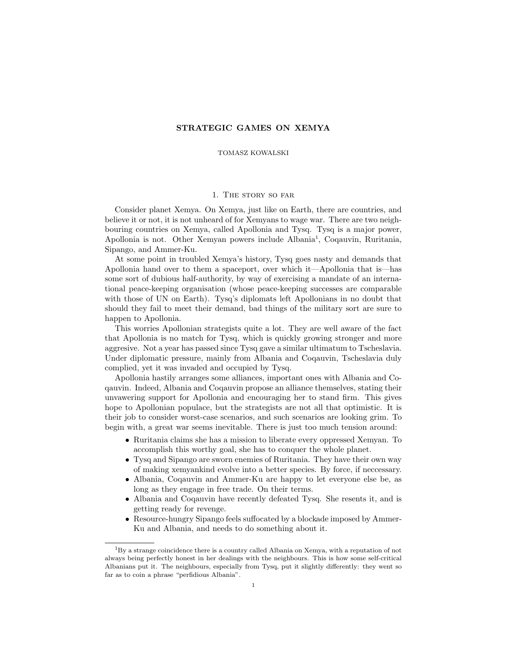## STRATEGIC GAMES ON XEMYA

## TOMASZ KOWALSKI

## 1. The story so far

Consider planet Xemya. On Xemya, just like on Earth, there are countries, and believe it or not, it is not unheard of for Xemyans to wage war. There are two neighbouring countries on Xemya, called Apollonia and Tysq. Tysq is a major power, Apollonia is not. Other Xemyan powers include Albania<sup>1</sup>, Coqauvin, Ruritania, Sipango, and Ammer-Ku.

At some point in troubled Xemya's history, Tysq goes nasty and demands that Apollonia hand over to them a spaceport, over which it—Apollonia that is—has some sort of dubious half-authority, by way of exercising a mandate of an international peace-keeping organisation (whose peace-keeping successes are comparable with those of UN on Earth). Tysq's diplomats left Apollonians in no doubt that should they fail to meet their demand, bad things of the military sort are sure to happen to Apollonia.

This worries Apollonian strategists quite a lot. They are well aware of the fact that Apollonia is no match for Tysq, which is quickly growing stronger and more aggresive. Not a year has passed since Tysq gave a similar ultimatum to Tscheslavia. Under diplomatic pressure, mainly from Albania and Coqauvin, Tscheslavia duly complied, yet it was invaded and occupied by Tysq.

Apollonia hastily arranges some alliances, important ones with Albania and Coqauvin. Indeed, Albania and Coqauvin propose an alliance themselves, stating their unvawering support for Apollonia and encouraging her to stand firm. This gives hope to Apollonian populace, but the strategists are not all that optimistic. It is their job to consider worst-case scenarios, and such scenarios are looking grim. To begin with, a great war seems inevitable. There is just too much tension around:

- Ruritania claims she has a mission to liberate every oppressed Xemyan. To accomplish this worthy goal, she has to conquer the whole planet.
- Tysq and Sipango are sworn enemies of Ruritania. They have their own way of making xemyankind evolve into a better species. By force, if neccessary.
- Albania, Coqauvin and Ammer-Ku are happy to let everyone else be, as long as they engage in free trade. On their terms.
- Albania and Coqauvin have recently defeated Tysq. She resents it, and is getting ready for revenge.
- Resource-hungry Sipango feels suffocated by a blockade imposed by Ammer-Ku and Albania, and needs to do something about it.

 ${}^{1}$ By a strange coincidence there is a country called Albania on Xemya, with a reputation of not always being perfectly honest in her dealings with the neighbours. This is how some self-critical Albanians put it. The neighbours, especially from Tysq, put it slightly differently: they went so far as to coin a phrase "perfidious Albania".